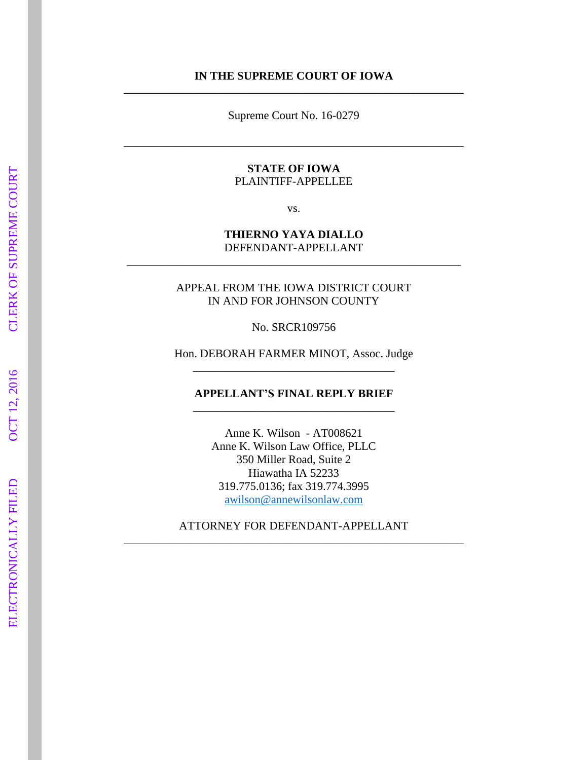#### **IN THE SUPREME COURT OF IOWA** \_\_\_\_\_\_\_\_\_\_\_\_\_\_\_\_\_\_\_\_\_\_\_\_\_\_\_\_\_\_\_\_\_\_\_\_\_\_\_\_\_\_\_\_\_\_\_\_\_\_\_\_\_\_\_\_\_\_\_

Supreme Court No. 16 -0279

\_\_\_\_\_\_\_\_\_\_\_\_\_\_\_\_\_\_\_\_\_\_\_\_\_\_\_\_\_\_\_\_\_\_\_\_\_\_\_\_\_\_\_\_\_\_\_\_\_\_\_\_\_\_\_\_\_\_\_

#### **STATE OF IOWA** PLAINTIFF -APPELLEE

vs.

#### **THIERNO YAYA DIALLO** DEFENDANT -APPELLANT \_\_\_\_\_\_\_\_\_\_\_\_\_\_\_\_\_\_\_\_\_\_\_\_\_\_\_\_\_\_\_\_\_\_\_\_\_\_\_\_\_\_\_\_\_\_\_\_\_\_\_\_\_\_\_\_\_\_

APPEAL FROM THE IOWA DISTRICT COURT IN AND FOR JOHNSON COUNTY

No. SRCR109756

Hon. DEBORAH FARMER MINOT, Assoc. Judge \_\_\_\_\_\_\_\_\_\_\_\_\_\_\_\_\_\_\_\_\_\_\_\_\_\_\_\_\_\_\_\_\_\_\_

**APPELLANT'S FINAL REPLY BRIEF**  \_\_\_\_\_\_\_\_\_\_\_\_\_\_\_\_\_\_\_\_\_\_\_\_\_\_\_\_\_\_\_\_\_\_\_

Anne K. Wilson - AT008621 Anne K. Wilson Law Office, PLLC 350 Miller Road, Suite 2 Hiawatha IA 52233 319.775.0136; fax 319.774.3995 awilson@annewilsonlaw.com

ATTORNEY FOR DEFENDANT -APPELLANT \_\_\_\_\_\_\_\_\_\_\_\_\_\_\_\_\_\_\_\_\_\_\_\_\_\_\_\_\_\_\_\_\_\_\_\_\_\_\_\_\_\_\_\_\_\_\_\_\_\_\_\_\_\_\_\_\_\_\_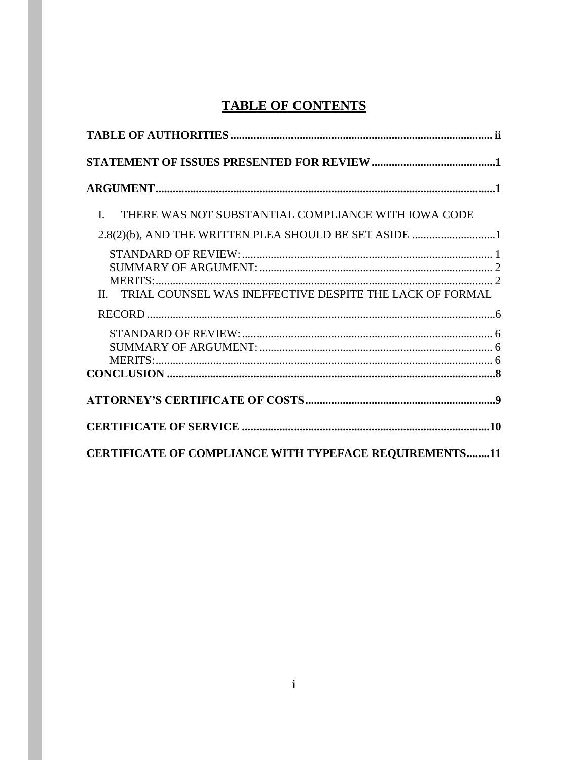## **TABLE OF CONTENTS**

| THERE WAS NOT SUBSTANTIAL COMPLIANCE WITH IOWA CODE<br>$\mathbf{L}$ |  |
|---------------------------------------------------------------------|--|
| 2.8(2)(b), AND THE WRITTEN PLEA SHOULD BE SET ASIDE 1               |  |
| II. TRIAL COUNSEL WAS INEFFECTIVE DESPITE THE LACK OF FORMAL        |  |
|                                                                     |  |
|                                                                     |  |
|                                                                     |  |
| <b>CERTIFICATE OF COMPLIANCE WITH TYPEFACE REQUIREMENTS11</b>       |  |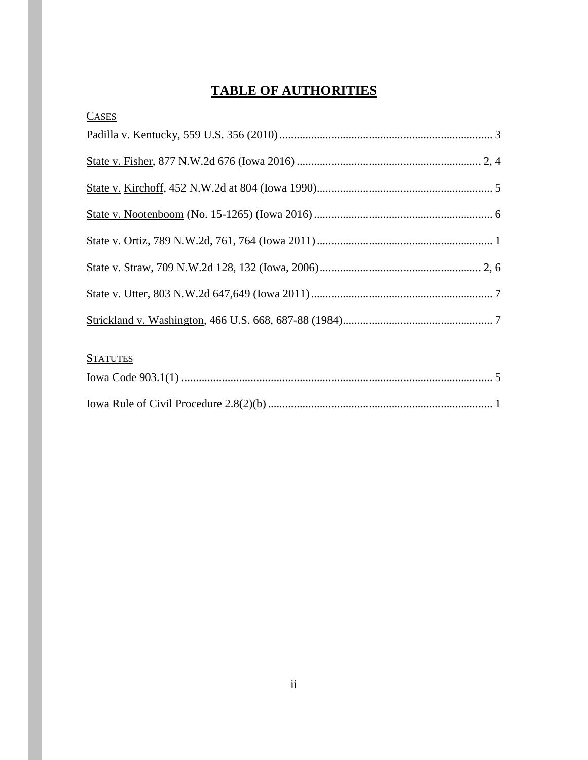## **TABLE OF AUTHORITIES**

| <b>CASES</b> |  |
|--------------|--|
|              |  |
|              |  |
|              |  |
|              |  |
|              |  |
|              |  |
|              |  |
|              |  |
|              |  |

## **STATUTES**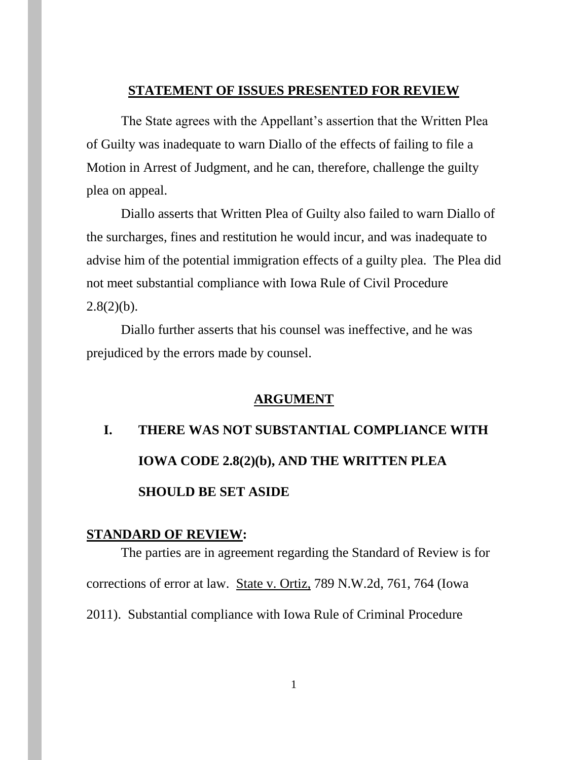### **STATEMENT OF ISSUES PRESENTED FOR REVIEW**

The State agrees with the Appellant's assertion that the Written Plea of Guilty was inadequate to warn Diallo of the effects of failing to file a Motion in Arrest of Judgment, and he can, therefore, challenge the guilty plea on appeal.

Diallo asserts that Written Plea of Guilty also failed to warn Diallo of the surcharges, fines and restitution he would incur, and was inadequate to advise him of the potential immigration effects of a guilty plea. The Plea did not meet substantial compliance with Iowa Rule of Civil Procedure  $2.8(2)(b)$ .

Diallo further asserts that his counsel was ineffective, and he was prejudiced by the errors made by counsel.

#### **ARGUMENT**

# **I. THERE WAS NOT SUBSTANTIAL COMPLIANCE WITH IOWA CODE 2.8(2)(b), AND THE WRITTEN PLEA SHOULD BE SET ASIDE**

#### **STANDARD OF REVIEW:**

The parties are in agreement regarding the Standard of Review is for corrections of error at law. State v. Ortiz, 789 N.W.2d, 761, 764 (Iowa 2011). Substantial compliance with Iowa Rule of Criminal Procedure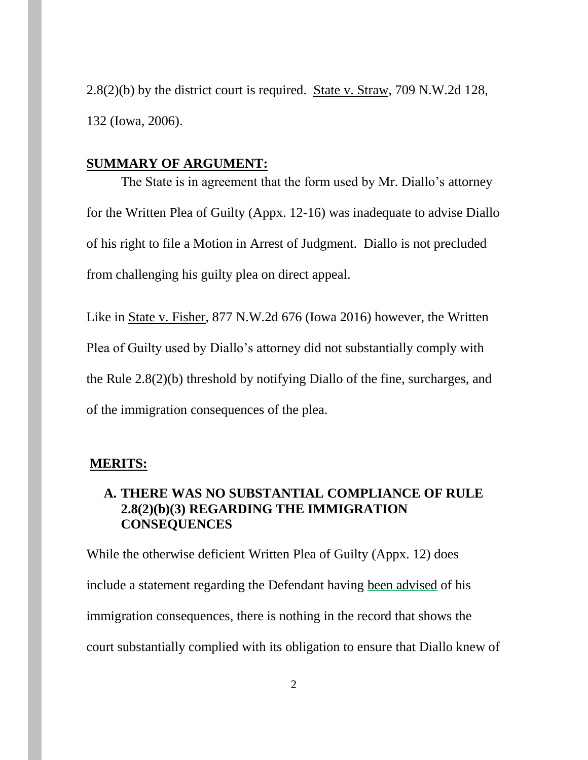2.8(2)(b) by the district court is required. State v. Straw, 709 N.W.2d 128, 132 (Iowa, 2006).

#### **SUMMARY OF ARGUMENT:**

The State is in agreement that the form used by Mr. Diallo's attorney for the Written Plea of Guilty (Appx. 12-16) was inadequate to advise Diallo of his right to file a Motion in Arrest of Judgment. Diallo is not precluded from challenging his guilty plea on direct appeal.

Like in State v. Fisher, 877 N.W.2d 676 (Iowa 2016) however, the Written Plea of Guilty used by Diallo's attorney did not substantially comply with the Rule 2.8(2)(b) threshold by notifying Diallo of the fine, surcharges, and of the immigration consequences of the plea.

#### **MERITS:**

## **A. THERE WAS NO SUBSTANTIAL COMPLIANCE OF RULE 2.8(2)(b)(3) REGARDING THE IMMIGRATION CONSEQUENCES**

While the otherwise deficient Written Plea of Guilty (Appx. 12) does include a statement regarding the Defendant having been advised of his immigration consequences, there is nothing in the record that shows the court substantially complied with its obligation to ensure that Diallo knew of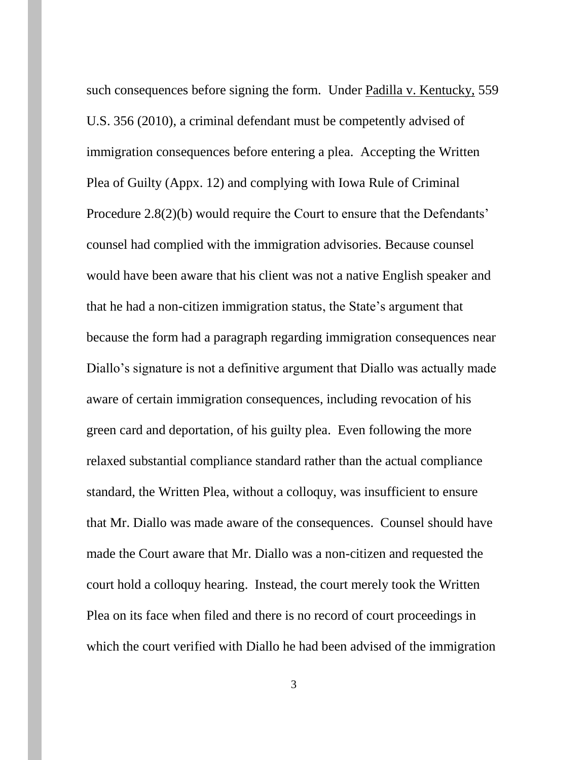such consequences before signing the form. Under Padilla v. Kentucky, 559 U.S. 356 (2010), a criminal defendant must be competently advised of immigration consequences before entering a plea. Accepting the Written Plea of Guilty (Appx. 12) and complying with Iowa Rule of Criminal Procedure 2.8(2)(b) would require the Court to ensure that the Defendants' counsel had complied with the immigration advisories. Because counsel would have been aware that his client was not a native English speaker and that he had a non-citizen immigration status, the State's argument that because the form had a paragraph regarding immigration consequences near Diallo's signature is not a definitive argument that Diallo was actually made aware of certain immigration consequences, including revocation of his green card and deportation, of his guilty plea. Even following the more relaxed substantial compliance standard rather than the actual compliance standard, the Written Plea, without a colloquy, was insufficient to ensure that Mr. Diallo was made aware of the consequences. Counsel should have made the Court aware that Mr. Diallo was a non-citizen and requested the court hold a colloquy hearing. Instead, the court merely took the Written Plea on its face when filed and there is no record of court proceedings in which the court verified with Diallo he had been advised of the immigration

3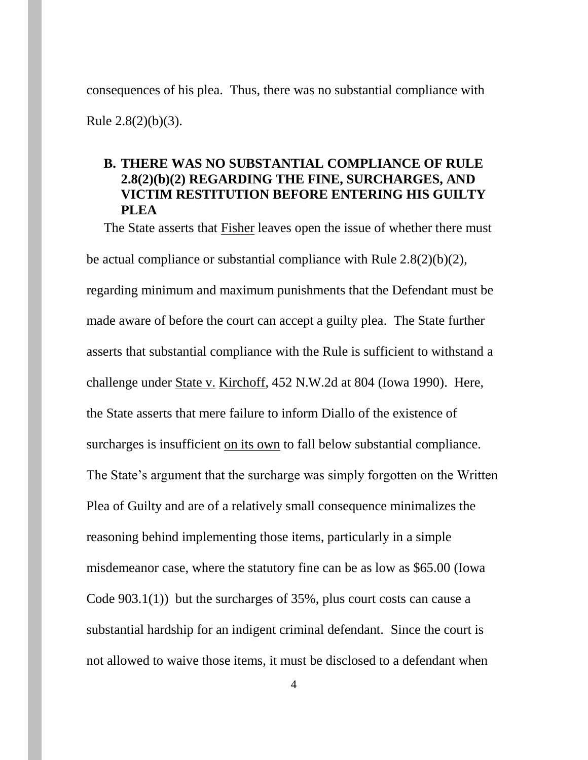consequences of his plea. Thus, there was no substantial compliance with Rule 2.8(2)(b)(3).

## **B. THERE WAS NO SUBSTANTIAL COMPLIANCE OF RULE 2.8(2)(b)(2) REGARDING THE FINE, SURCHARGES, AND VICTIM RESTITUTION BEFORE ENTERING HIS GUILTY PLEA**

The State asserts that Fisher leaves open the issue of whether there must be actual compliance or substantial compliance with Rule 2.8(2)(b)(2), regarding minimum and maximum punishments that the Defendant must be made aware of before the court can accept a guilty plea. The State further asserts that substantial compliance with the Rule is sufficient to withstand a challenge under State v. Kirchoff, 452 N.W.2d at 804 (Iowa 1990). Here, the State asserts that mere failure to inform Diallo of the existence of surcharges is insufficient on its own to fall below substantial compliance. The State's argument that the surcharge was simply forgotten on the Written Plea of Guilty and are of a relatively small consequence minimalizes the reasoning behind implementing those items, particularly in a simple misdemeanor case, where the statutory fine can be as low as \$65.00 (Iowa Code 903.1(1)) but the surcharges of 35%, plus court costs can cause a substantial hardship for an indigent criminal defendant. Since the court is not allowed to waive those items, it must be disclosed to a defendant when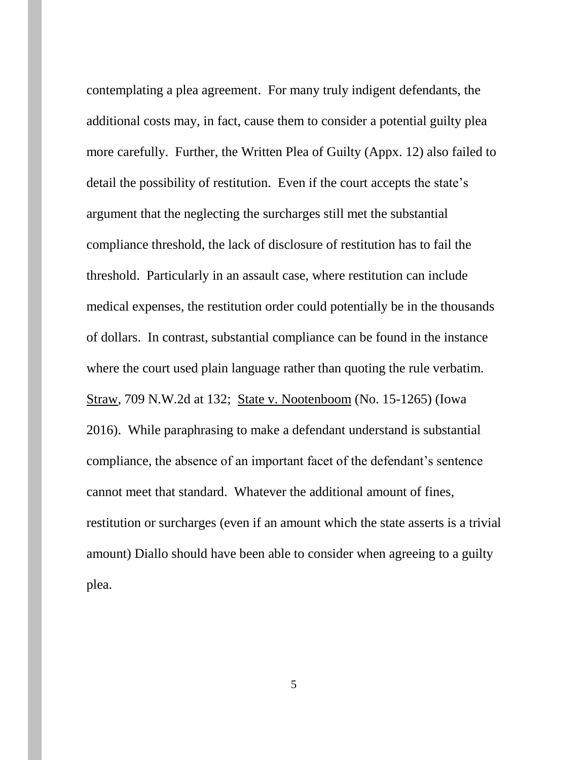contemplating a plea agreement. For many truly indigent defendants, the additional costs may, in fact, cause them to consider a potential guilty plea more carefully. Further, the Written Plea of Guilty (Appx. 12) also failed to detail the possibility of restitution. Even if the court accepts the state's argument that the neglecting the surcharges still met the substantial compliance threshold, the lack of disclosure of restitution has to fail the threshold. Particularly in an assault case, where restitution can include medical expenses, the restitution order could potentially be in the thousands of dollars. In contrast, substantial compliance can be found in the instance where the court used plain language rather than quoting the rule verbatim. Straw, 709 N.W.2d at 132; State v. Nootenboom (No. 15-1265) (Iowa 2016). While paraphrasing to make a defendant understand is substantial compliance, the absence of an important facet of the defendant's sentence cannot meet that standard. Whatever the additional amount of fines, restitution or surcharges (even if an amount which the state asserts is a trivial amount) Diallo should have been able to consider when agreeing to a guilty plea.

5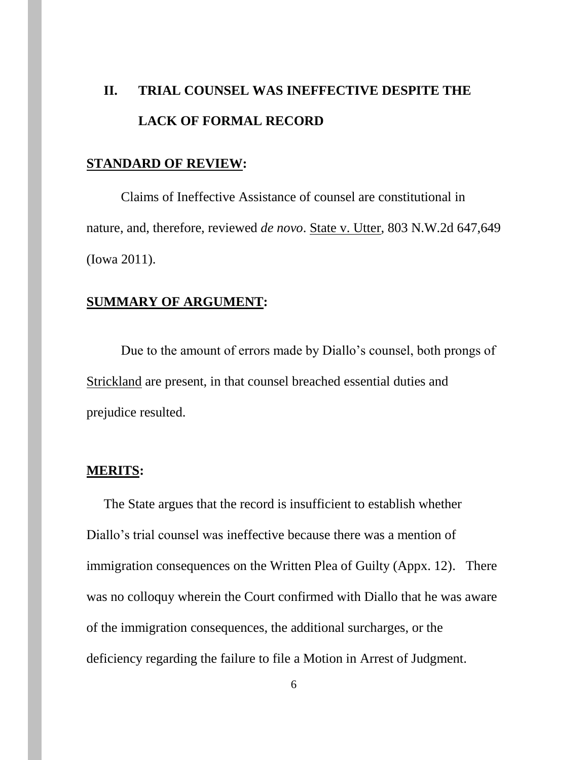# **II. TRIAL COUNSEL WAS INEFFECTIVE DESPITE THE LACK OF FORMAL RECORD**

#### **STANDARD OF REVIEW:**

Claims of Ineffective Assistance of counsel are constitutional in nature, and, therefore, reviewed *de novo*. State v. Utter, 803 N.W.2d 647,649 (Iowa 2011).

## **SUMMARY OF ARGUMENT:**

Due to the amount of errors made by Diallo's counsel, both prongs of Strickland are present, in that counsel breached essential duties and prejudice resulted.

## **MERITS:**

The State argues that the record is insufficient to establish whether Diallo's trial counsel was ineffective because there was a mention of immigration consequences on the Written Plea of Guilty (Appx. 12). There was no colloquy wherein the Court confirmed with Diallo that he was aware of the immigration consequences, the additional surcharges, or the deficiency regarding the failure to file a Motion in Arrest of Judgment.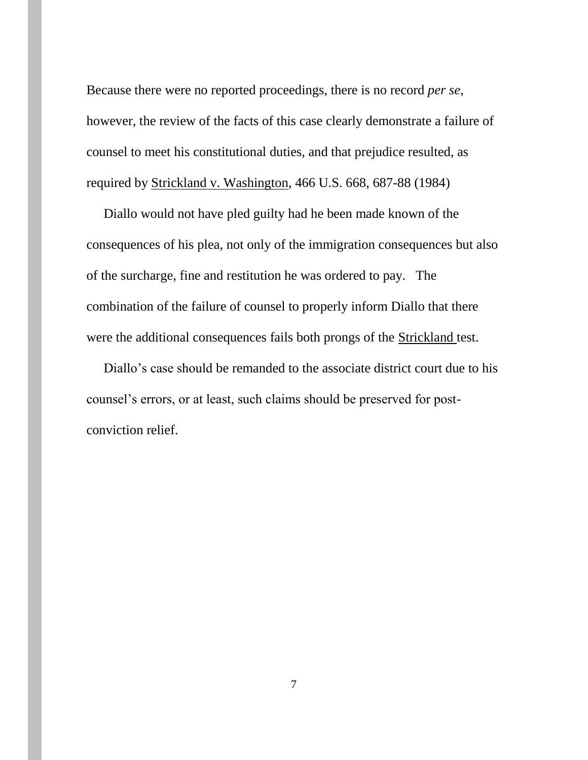Because there were no reported proceedings, there is no record *per se*, however, the review of the facts of this case clearly demonstrate a failure of counsel to meet his constitutional duties, and that prejudice resulted, as required by Strickland v. Washington, 466 U.S. 668, 687-88 (1984)

Diallo would not have pled guilty had he been made known of the consequences of his plea, not only of the immigration consequences but also of the surcharge, fine and restitution he was ordered to pay. The combination of the failure of counsel to properly inform Diallo that there were the additional consequences fails both prongs of the Strickland test.

Diallo's case should be remanded to the associate district court due to his counsel's errors, or at least, such claims should be preserved for postconviction relief.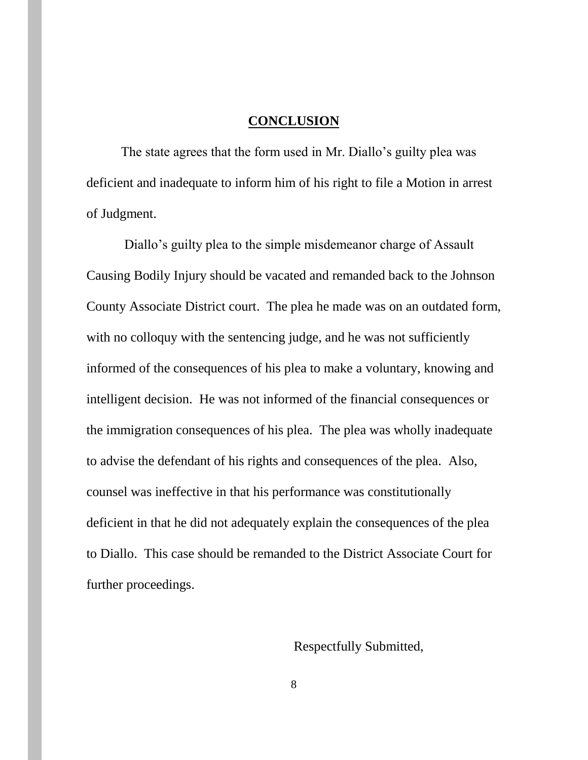#### **CONCLUSION**

The state agrees that the form used in Mr. Diallo's guilty plea was deficient and inadequate to inform him of his right to file a Motion in arrest of Judgment.

Diallo's guilty plea to the simple misdemeanor charge of Assault Causing Bodily Injury should be vacated and remanded back to the Johnson County Associate District court. The plea he made was on an outdated form, with no colloquy with the sentencing judge, and he was not sufficiently informed of the consequences of his plea to make a voluntary, knowing and intelligent decision. He was not informed of the financial consequences or the immigration consequences of his plea. The plea was wholly inadequate to advise the defendant of his rights and consequences of the plea. Also, counsel was ineffective in that his performance was constitutionally deficient in that he did not adequately explain the consequences of the plea to Diallo. This case should be remanded to the District Associate Court for further proceedings.

Respectfully Submitted,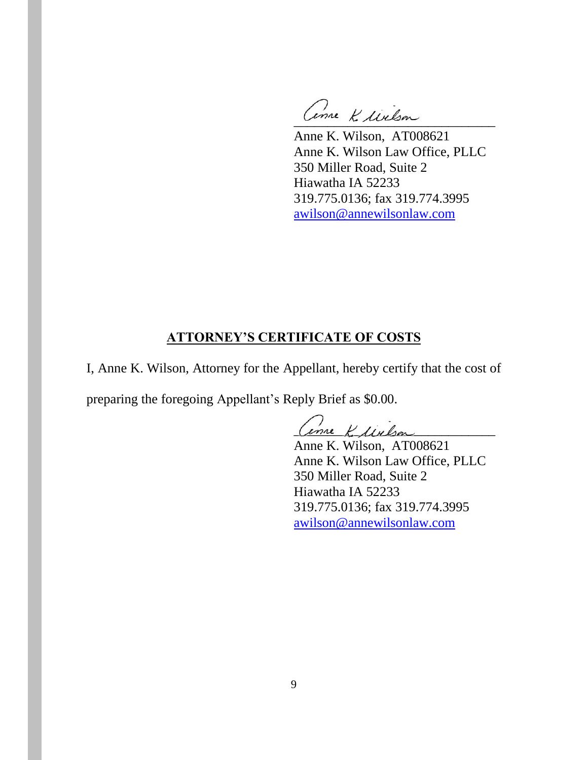Come K lielson

Anne K. Wilson, AT008621 Anne K. Wilson Law Office, PLLC 350 Miller Road, Suite 2 Hiawatha IA 52233 319.775.0136; fax 319.774.3995 awilson@annewilsonlaw.com

## **ATTORNEY'S CERTIFICATE OF COSTS**

I, Anne K. Wilson, Attorney for the Appellant, hereby certify that the cost of

preparing the foregoing Appellant's Reply Brief as \$0.00.

\_\_\_\_\_\_\_\_\_\_\_\_\_\_\_\_\_\_\_\_\_\_\_\_\_\_\_\_\_\_

Anne K. Wilson, AT008621 Anne K. Wilson Law Office, PLLC 350 Miller Road, Suite 2 Hiawatha IA 52233 319.775.0136; fax 319.774.3995 awilson@annewilsonlaw.com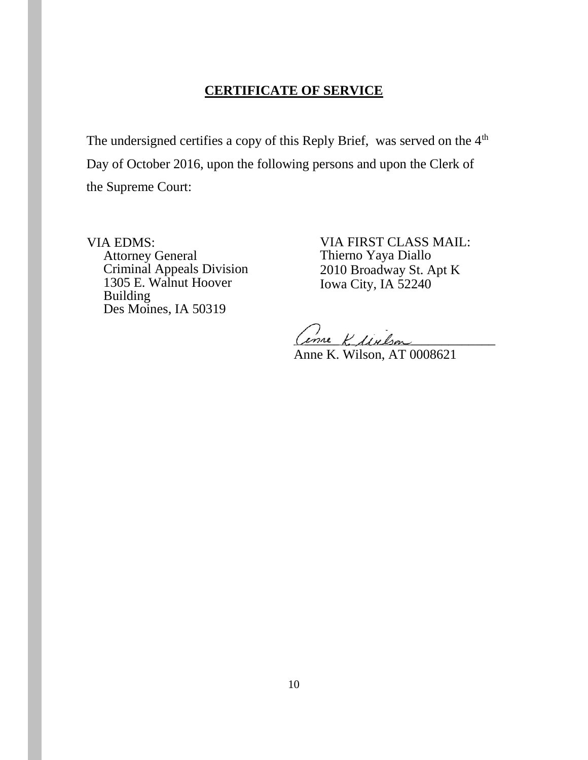## **CERTIFICATE OF SERVICE**

The undersigned certifies a copy of this Reply Brief, was served on the 4<sup>th</sup> Day of October 2016, upon the following persons and upon the Clerk of the Supreme Court:

VIA EDMS: Attorney General Criminal Appeals Division 1305 E. Walnut Hoover Building Des Moines, IA 50319

VIA FIRST CLASS MAIL: Thierno Yaya Diallo 2010 Broadway St. Apt K Iowa City, IA 52240

Come K. Melson

Anne K. Wilson, AT 0008621